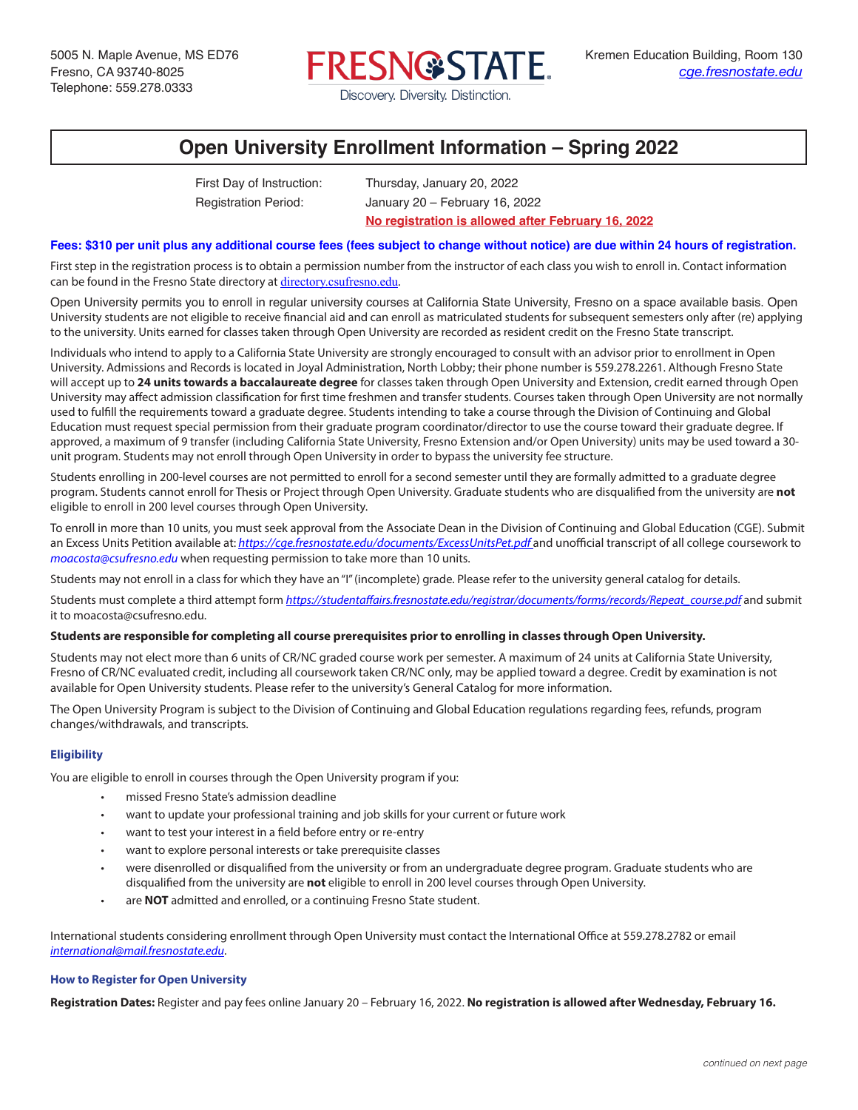

# **Open University Enrollment Information – Spring 2022**

First Day of Instruction: Thursday, January 20, 2022

Registration Period: January 20 – February 16, 2022 **No registration is allowed after February 16, 2022**

## **Fees: \$310 per unit plus any additional course fees (fees subject to change without notice) are due within 24 hours of registration.**

First step in the registration process is to obtain a permission number from the instructor of each class you wish to enroll in. Contact information can be found in the Fresno State directory at directory.csufresno.edu.

Open University permits you to enroll in regular university courses at California State University, Fresno on a space available basis. Open University students are not eligible to receive financial aid and can enroll as matriculated students for subsequent semesters only after (re) applying to the university. Units earned for classes taken through Open University are recorded as resident credit on the Fresno State transcript.

Individuals who intend to apply to a California State University are strongly encouraged to consult with an advisor prior to enrollment in Open University. Admissions and Records is located in Joyal Administration, North Lobby; their phone number is 559.278.2261. Although Fresno State will accept up to **24 units towards a baccalaureate degree** for classes taken through Open University and Extension, credit earned through Open University may affect admission classification for first time freshmen and transfer students. Courses taken through Open University are not normally used to fulfill the requirements toward a graduate degree. Students intending to take a course through the Division of Continuing and Global Education must request special permission from their graduate program coordinator/director to use the course toward their graduate degree. If approved, a maximum of 9 transfer (including California State University, Fresno Extension and/or Open University) units may be used toward a 30 unit program. Students may not enroll through Open University in order to bypass the university fee structure.

Students enrolling in 200-level courses are not permitted to enroll for a second semester until they are formally admitted to a graduate degree program. Students cannot enroll for Thesis or Project through Open University. Graduate students who are disqualified from the university are **not** eligible to enroll in 200 level courses through Open University.

To enroll in more than 10 units, you must seek approval from the Associate Dean in the Division of Continuing and Global Education (CGE). Submit an Excess Units Petition available at: https://cge.fresnostate.edu/documents/ExcessUnitsPet.pdf and unofficial transcript of all college coursework to *moacosta@csufresno.edu* when requesting permission to take more than 10 units.

Students may not enroll in a class for which they have an "I" (incomplete) grade. Please refer to the university general catalog for details.

Students must complete a third attempt form *https://studentaffairs.fresnostate.edu/registrar/documents/forms/records/Repeat\_course.pdf* and submit it to moacosta@csufresno.edu.

#### **Students are responsible for completing all course prerequisites prior to enrolling in classes through Open University.**

Students may not elect more than 6 units of CR/NC graded course work per semester. A maximum of 24 units at California State University, Fresno of CR/NC evaluated credit, including all coursework taken CR/NC only, may be applied toward a degree. Credit by examination is not available for Open University students. Please refer to the university's General Catalog for more information.

The Open University Program is subject to the Division of Continuing and Global Education regulations regarding fees, refunds, program changes/withdrawals, and transcripts.

#### **Eligibility**

You are eligible to enroll in courses through the Open University program if you:

- missed Fresno State's admission deadline
- want to update your professional training and job skills for your current or future work
- want to test your interest in a field before entry or re-entry
- want to explore personal interests or take prerequisite classes
- were disenrolled or disqualified from the university or from an undergraduate degree program. Graduate students who are disqualified from the university are **not** eligible to enroll in 200 level courses through Open University.
- are **NOT** admitted and enrolled, or a continuing Fresno State student.

International students considering enrollment through Open University must contact the International Office at 559.278.2782 or email *international@mail.fresnostate.edu*.

# **How to Register for Open University**

**Registration Dates:** Register and pay fees online January 20 – February 16, 2022. **No registration is allowed after Wednesday, February 16.**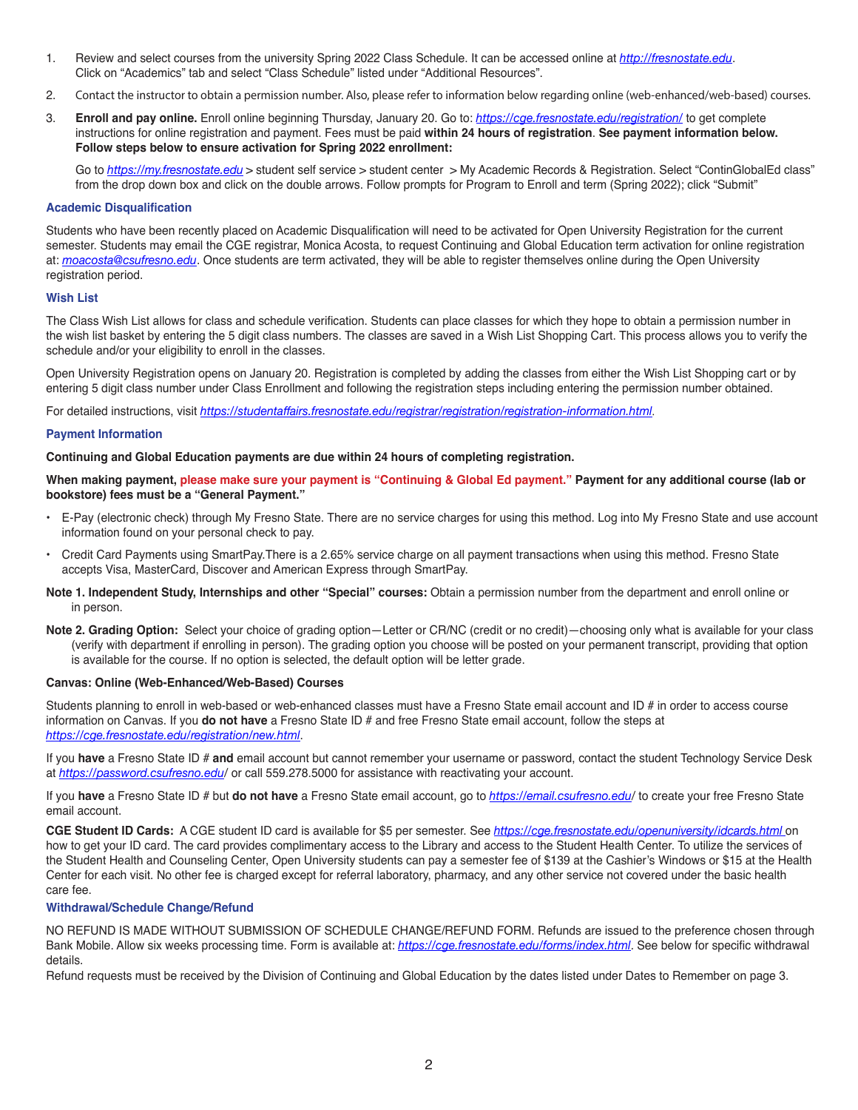- 1. Review and select courses from the university Spring 2022 Class Schedule. It can be accessed online at *http://fresnostate.edu*. Click on "Academics" tab and select "Class Schedule" listed under "Additional Resources".
- 2. Contact the instructor to obtain a permission number. Also, please refer to information below regarding online (web-enhanced/web-based) courses.
- 3. **Enroll and pay online.** Enroll online beginning Thursday, January 20. Go to: *https://cge.fresnostate.edu/registration/* to get complete instructions for online registration and payment. Fees must be paid **within 24 hours of registration**. **See payment information below. Follow steps below to ensure activation for Spring 2022 enrollment:**

Go to *https://my.fresnostate.edu* > student self service > student center > My Academic Records & Registration. Select "ContinGlobalEd class" from the drop down box and click on the double arrows. Follow prompts for Program to Enroll and term (Spring 2022); click "Submit"

#### **Academic Disqualification**

Students who have been recently placed on Academic Disqualification will need to be activated for Open University Registration for the current semester. Students may email the CGE registrar, Monica Acosta, to request Continuing and Global Education term activation for online registration at: *moacosta@csufresno.edu*. Once students are term activated, they will be able to register themselves online during the Open University registration period.

### **Wish List**

The Class Wish List allows for class and schedule verification. Students can place classes for which they hope to obtain a permission number in the wish list basket by entering the 5 digit class numbers. The classes are saved in a Wish List Shopping Cart. This process allows you to verify the schedule and/or your eligibility to enroll in the classes.

Open University Registration opens on January 20. Registration is completed by adding the classes from either the Wish List Shopping cart or by entering 5 digit class number under Class Enrollment and following the registration steps including entering the permission number obtained.

For detailed instructions, visit *https://studentaffairs.fresnostate.edu/registrar/registration/registration-information.html*.

### **Payment Information**

### **Continuing and Global Education payments are due within 24 hours of completing registration.**

**When making payment, please make sure your payment is "Continuing & Global Ed payment." Payment for any additional course (lab or bookstore) fees must be a "General Payment."**

- E-Pay (electronic check) through My Fresno State. There are no service charges for using this method. Log into My Fresno State and use account information found on your personal check to pay.
- Credit Card Payments using SmartPay.There is a 2.65% service charge on all payment transactions when using this method. Fresno State accepts Visa, MasterCard, Discover and American Express through SmartPay.
- **Note 1. Independent Study, Internships and other "Special" courses:** Obtain a permission number from the department and enroll online or in person.
- **Note 2. Grading Option:** Select your choice of grading option—Letter or CR/NC (credit or no credit)—choosing only what is available for your class (verify with department if enrolling in person). The grading option you choose will be posted on your permanent transcript, providing that option is available for the course. If no option is selected, the default option will be letter grade.

#### **Canvas: Online (Web-Enhanced/Web-Based) Courses**

Students planning to enroll in web-based or web-enhanced classes must have a Fresno State email account and ID # in order to access course information on Canvas. If you **do not have** a Fresno State ID # and free Fresno State email account, follow the steps at *https://cge.fresnostate.edu/registration/new.html*.

If you **have** a Fresno State ID # **and** email account but cannot remember your username or password, contact the student Technology Service Desk at *https://password.csufresno.edu/* or call 559.278.5000 for assistance with reactivating your account.

If you **have** a Fresno State ID # but **do not have** a Fresno State email account, go to *https://email.csufresno.edu/* to create your free Fresno State email account.

**CGE Student ID Cards:** A CGE student ID card is available for \$5 per semester. See *https://cge.fresnostate.edu/openuniversity/idcards.html* on how to get your ID card. The card provides complimentary access to the Library and access to the Student Health Center. To utilize the services of the Student Health and Counseling Center, Open University students can pay a semester fee of \$139 at the Cashier's Windows or \$15 at the Health Center for each visit. No other fee is charged except for referral laboratory, pharmacy, and any other service not covered under the basic health care fee.

## **Withdrawal/Schedule Change/Refund**

NO REFUND IS MADE WITHOUT SUBMISSION OF SCHEDULE CHANGE/REFUND FORM. Refunds are issued to the preference chosen through Bank Mobile. Allow six weeks processing time. Form is available at: *https://cge.fresnostate.edu/forms/index.html.* See below for specific withdrawal details.

Refund requests must be received by the Division of Continuing and Global Education by the dates listed under Dates to Remember on page 3.